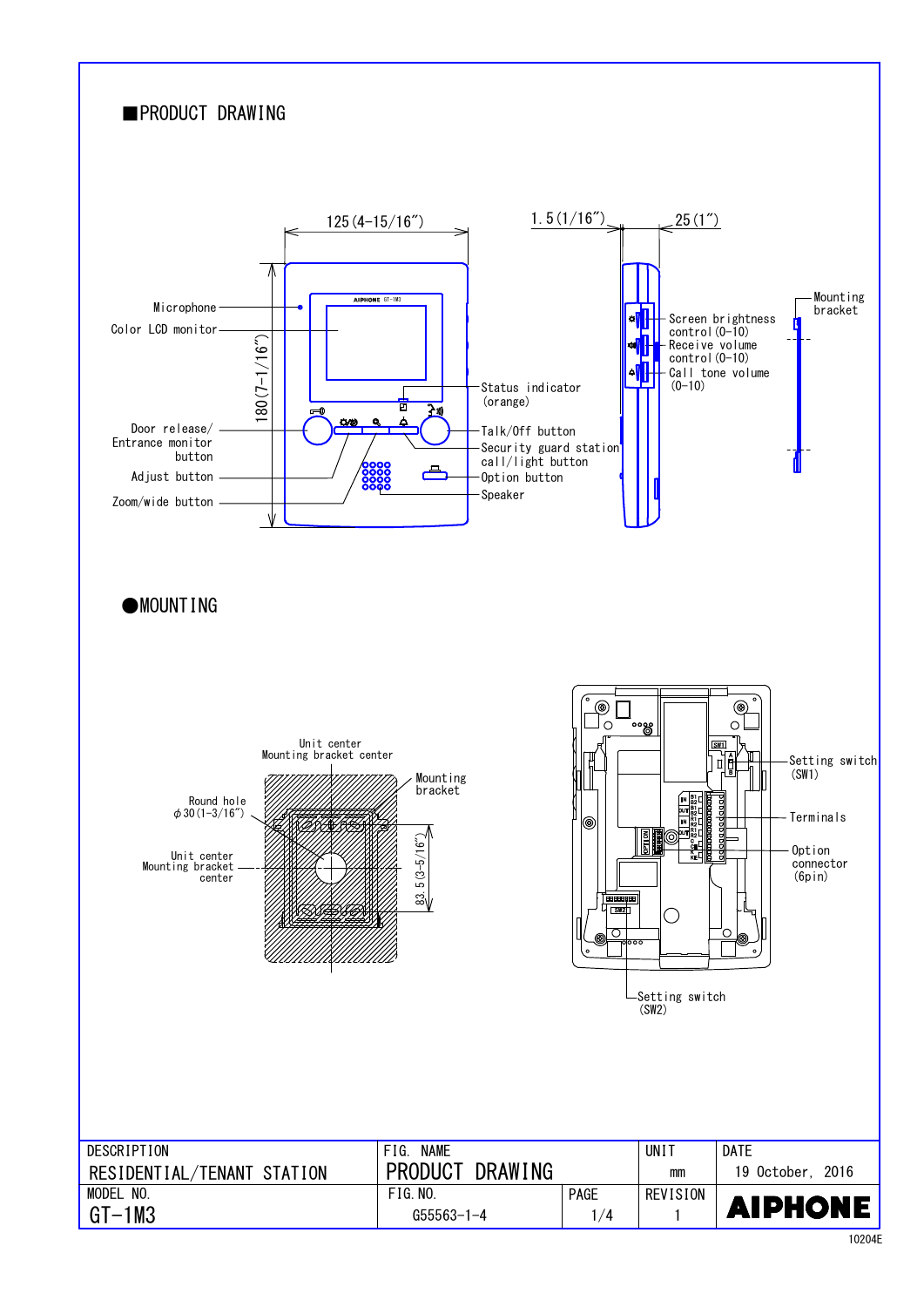

10204E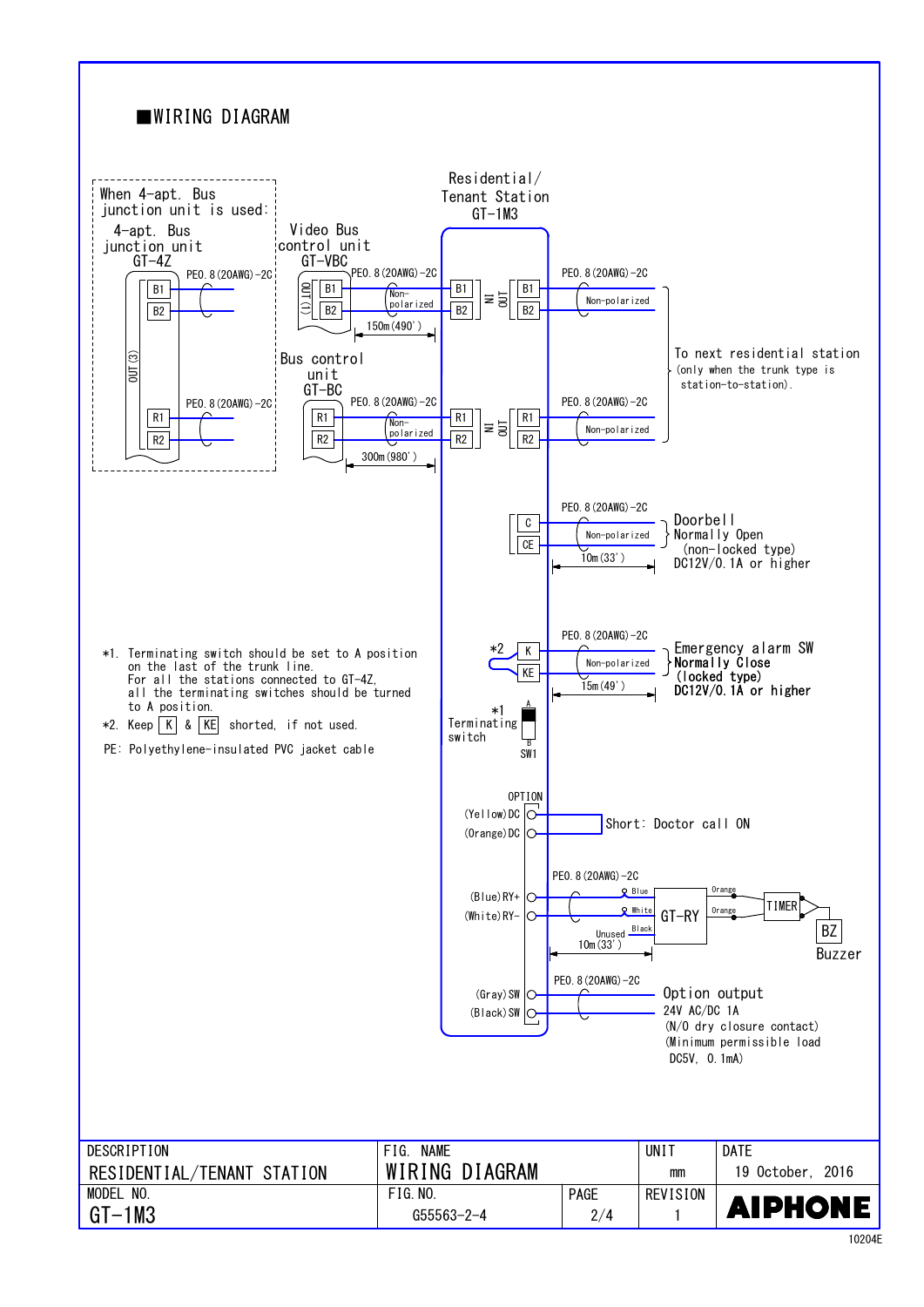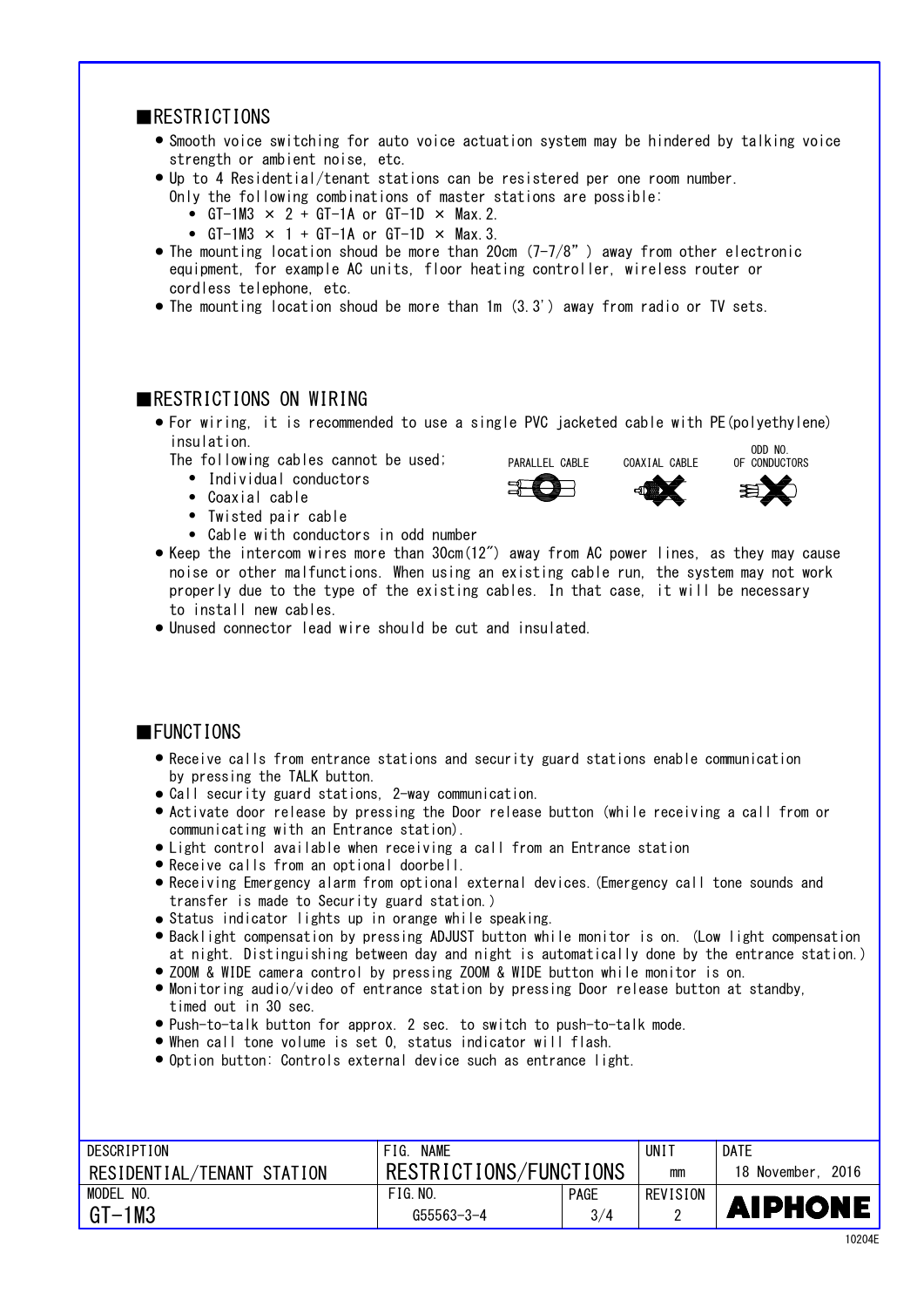#### ■RESTRICTIONS

- Smooth voice switching for auto voice actuation system may be hindered by talking voice strength or ambient noise, etc.
- Up to 4 Residential/tenant stations can be resistered per one room number.
	- Only the following combinations of master stations are possible:
	- GT-1M3  $\times$  2 + GT-1A or GT-1D  $\times$  Max. 2.
	- GT-1M3  $\times$  1 + GT-1A or GT-1D  $\times$  Max. 3.
- The mounting location shoud be more than 20cm (7-7/8") away from other electronic cordless telephone, etc. equipment, for example AC units, floor heating controller, wireless router or
- The mounting location shoud be more than 1m (3.3') away from radio or TV sets.

### **EXPENSIVE CONSTRUCTIONS ON WIRING**

● For wiring, it is recommended to use a single PVC jacketed cable with PE(polyethylene) insulation.<br>The contract of the contract of the contract of the contract of the contract of the contract of the contract o

PARALLEL CABLE COAXIAL CABLE OF CONDUCTORS

- The following cables cannot be used;
- Individual conductors
- ・ Coaxial cable ●
- ・ Twisted pair cable ●
- Cable with conductors in odd number
- Keep the intercom wires more than 30cm(12") away from AC power lines, as they may cause noise or other malfunctions. When using an existing cable run, the system may not work properly due to the type of the existing cables. In that case, it will be necessary to install new cables.
- Unused connector lead wire should be cut and insulated.

### ■FUNCTIONS

- by pressing the TALK button. ● Receive calls from entrance stations and security guard stations enable communication
- Call security guard stations, 2-way communication. ●
- Activate door release by pressing the Door release button (while receiving a call from or communicating with an Entrance station).
- Light control available when receiving a call from an Entrance station
- Receive calls from an optional doorbell. ●
- transfer is made to Security guard station.) Receiving Emergency alarm from optional external devices.(Emergency call tone sounds and ●
- Status indicator lights up in orange while speaking.
- Backlight compensation by pressing ADJUST button while monitor is on. (Low light compensation at night. Distinguishing between day and night is automatically done by the entrance station.)
- ZOOM & WIDE camera control by pressing ZOOM & WIDE button while monitor is on.
- Monitoring audio/video of entrance station by pressing Door release button at standby, timed out in 30 sec.
- Push-to-talk button for approx. 2 sec. to switch to push-to-talk mode. ●
- When call tone volume is set 0, status indicator will flash. ●
- Option button: Controls external device such as entrance light.

| DESCRIPTION                | <b>NAME</b><br>FIG.    |             | UN I     | <b>DATE</b>          |
|----------------------------|------------------------|-------------|----------|----------------------|
| RESIDENTIAL/TENANT STATION | RESTRICTIONS/FUNCTIONS |             | mm       | 2016<br>18 November. |
| MODEL<br>NO.               | FIG. N0.               | <b>PAGE</b> | REVISION |                      |
| $GT-1M3$                   | G55563-3-4             | 3/4         |          | <b>AIPHONE</b>       |